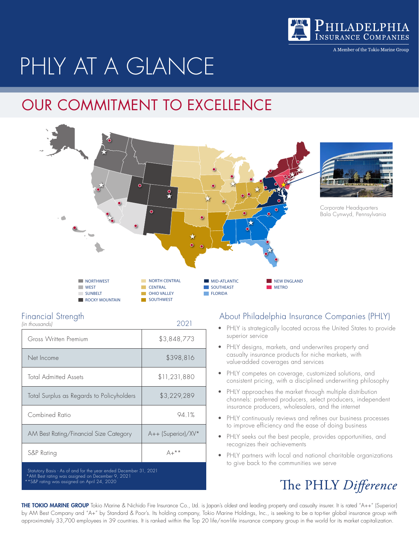

A Member of the Tokio Marine Group

# PHLY AT A GLANCE

## OUR COMMITMENT TO EXCELLENCE



| <b>Financial Strength</b> |      |
|---------------------------|------|
| lin thousands)            | 2021 |

| illi iliousaliasi                                                | ∠∪∠⊣               |  |  |
|------------------------------------------------------------------|--------------------|--|--|
| Gross Written Premium                                            | \$3,848,773        |  |  |
| Net Income                                                       | \$398,816          |  |  |
| <b>Total Admitted Assets</b>                                     | \$11,231,880       |  |  |
| Total Surplus as Regards to Policyholders                        | \$3,229,289        |  |  |
| Combined Ratio                                                   | 94.1%              |  |  |
| AM Best Rating/Financial Size Category                           | A++ (Superior)/XV* |  |  |
| S&P Rating                                                       | $A+***$            |  |  |
| Statutory Basis - As of and for the year ended December 31, 2021 |                    |  |  |

 \*AM Best rating was assigned on December 9, 2021 S&P rating was assigned on April 24, 2020

#### About Philadelphia Insurance Companies (PHLY)

- PHLY is strategically located across the United States to provide superior service
- PHLY designs, markets, and underwrites property and casualty insurance products for niche markets, with value-added coverages and services
- PHLY competes on coverage, customized solutions, and consistent pricing, with a disciplined underwriting philosophy
- PHLY approaches the market through multiple distribution channels: preferred producers, select producers, independent insurance producers, wholesalers, and the internet
- PHLY continuously reviews and refines our business processes to improve efficiency and the ease of doing business
- PHLY seeks out the best people, provides opportunities, and recognizes their achievements
- PHLY partners with local and national charitable organizations to give back to the communities we serve

#### The PHLY Difference

THE TOKIO MARINE GROUP Tokio Marine & Nichido Fire Insurance Co., Ltd. is Japan's oldest and leading property and casualty insurer. It is rated "A++" (Superior) by AM Best Company and "A+" by Standard & Poor's. Its holding company, Tokio Marine Holdings, Inc., is seeking to be a top-tier global insurance group with approximately 33,700 employees in 39 countries. It is ranked within the Top 20 life/non-life insurance company group in the world for its market capitalization.